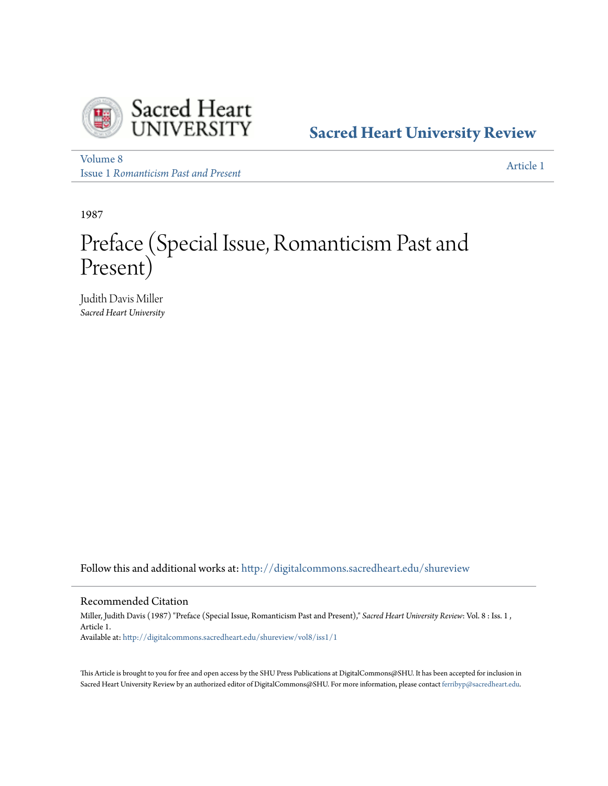

**[Sacred Heart University Review](http://digitalcommons.sacredheart.edu/shureview?utm_source=digitalcommons.sacredheart.edu%2Fshureview%2Fvol8%2Fiss1%2F1&utm_medium=PDF&utm_campaign=PDFCoverPages)**

[Volume 8](http://digitalcommons.sacredheart.edu/shureview/vol8?utm_source=digitalcommons.sacredheart.edu%2Fshureview%2Fvol8%2Fiss1%2F1&utm_medium=PDF&utm_campaign=PDFCoverPages) Issue 1 *[Romanticism Past and Present](http://digitalcommons.sacredheart.edu/shureview/vol8/iss1?utm_source=digitalcommons.sacredheart.edu%2Fshureview%2Fvol8%2Fiss1%2F1&utm_medium=PDF&utm_campaign=PDFCoverPages)*

[Article 1](http://digitalcommons.sacredheart.edu/shureview/vol8/iss1/1?utm_source=digitalcommons.sacredheart.edu%2Fshureview%2Fvol8%2Fiss1%2F1&utm_medium=PDF&utm_campaign=PDFCoverPages)

1987

# Preface (Special Issue, Romanticism Past and Present)

Judith Davis Miller *Sacred Heart University*

Follow this and additional works at: [http://digitalcommons.sacredheart.edu/shureview](http://digitalcommons.sacredheart.edu/shureview?utm_source=digitalcommons.sacredheart.edu%2Fshureview%2Fvol8%2Fiss1%2F1&utm_medium=PDF&utm_campaign=PDFCoverPages)

### Recommended Citation

Miller, Judith Davis (1987) "Preface (Special Issue, Romanticism Past and Present)," *Sacred Heart University Review*: Vol. 8 : Iss. 1 , Article 1. Available at: [http://digitalcommons.sacredheart.edu/shureview/vol8/iss1/1](http://digitalcommons.sacredheart.edu/shureview/vol8/iss1/1?utm_source=digitalcommons.sacredheart.edu%2Fshureview%2Fvol8%2Fiss1%2F1&utm_medium=PDF&utm_campaign=PDFCoverPages)

This Article is brought to you for free and open access by the SHU Press Publications at DigitalCommons@SHU. It has been accepted for inclusion in Sacred Heart University Review by an authorized editor of DigitalCommons@SHU. For more information, please contact [ferribyp@sacredheart.edu](mailto:ferribyp@sacredheart.edu).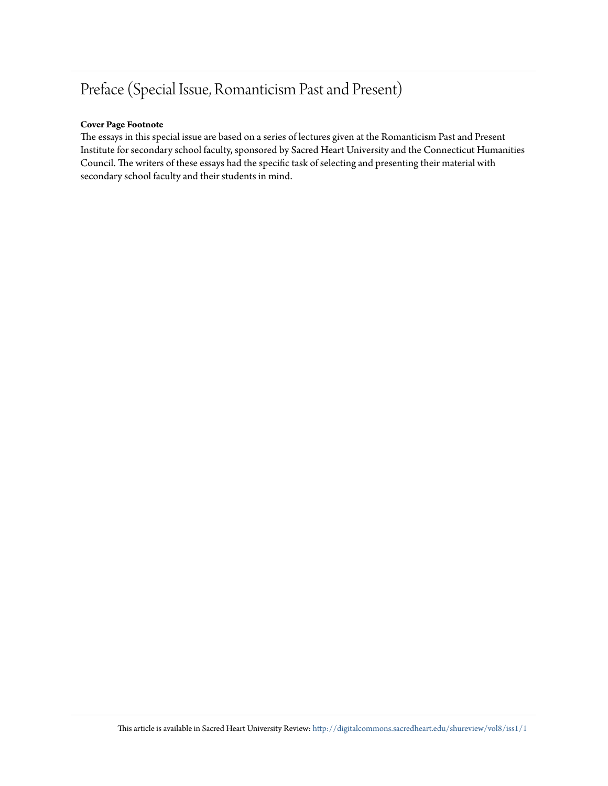## Preface (Special Issue, Romanticism Past and Present)

#### **Cover Page Footnote**

The essays in this special issue are based on a series of lectures given at the Romanticism Past and Present Institute for secondary school faculty, sponsored by Sacred Heart University and the Connecticut Humanities Council. The writers of these essays had the specific task of selecting and presenting their material with secondary school faculty and their students in mind.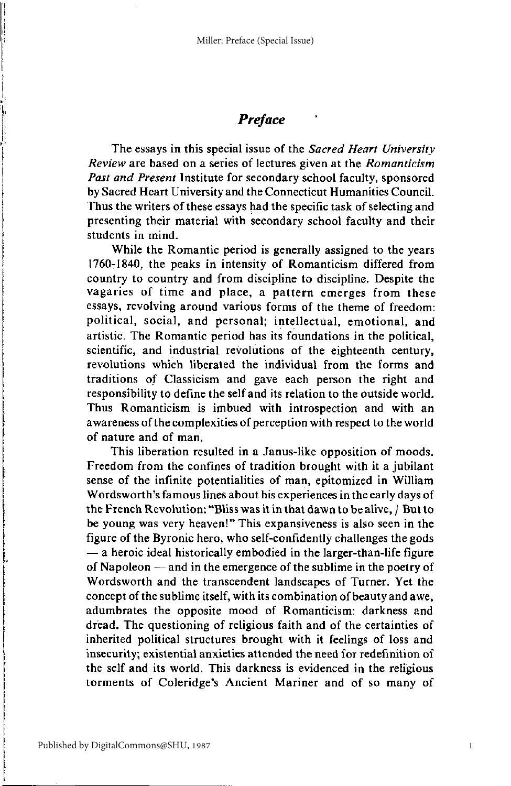### **Preface**

The essays in this special issue of the Sacred Heart University Review are based on a series of lectures given at the Romanticism Past and Present Institute for secondary school faculty, sponsored by Sacred Heart University and the Connecticut Humanities Council. Thus the writers of these essays had the specific task of selecting and presenting their material with secondary school faculty and their students in mind.

While the Romantic period is generally assigned to the years 1760-1840, the peaks in intensity of Romanticism differed from country to country and from discipline to discipline. Despite the vagaries of time and place, a pattern emerges from these essays, revolving around various forms of the theme of freedom: political, social, and personal; intellectual, emotional, and artistic. The Romantic period has its foundations in the political. scientific, and industrial revolutions of the eighteenth century, revolutions which liberated the individual from the forms and traditions of Classicism and gave each person the right and responsibility to define the self and its relation to the outside world. Thus Romanticism is imbued with introspection and with an awareness of the complexities of perception with respect to the world of nature and of man.

This liberation resulted in a Janus-like opposition of moods. Freedom from the confines of tradition brought with it a jubilant sense of the infinite potentialities of man, epitomized in William Wordsworth's famous lines about his experiences in the early days of the French Revolution: "Bliss was it in that dawn to be alive, / But to be young was very heaven!" This expansiveness is also seen in the figure of the Byronic hero, who self-confidently challenges the gods - a heroic ideal historically embodied in the larger-than-life figure of Napoleon — and in the emergence of the sublime in the poetry of Wordsworth and the transcendent landscapes of Turner. Yet the concept of the sublime itself, with its combination of beauty and awe, adumbrates the opposite mood of Romanticism: darkness and dread. The questioning of religious faith and of the certainties of inherited political structures brought with it feelings of loss and insecurity; existential anxieties attended the need for redefinition of the self and its world. This darkness is evidenced in the religious torments of Coleridge's Ancient Mariner and of so many of